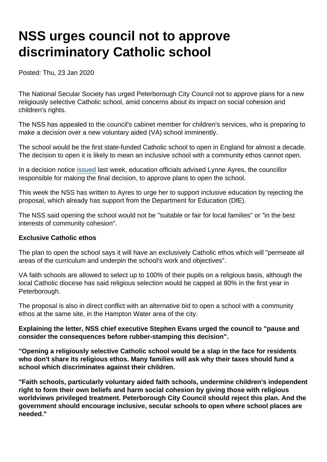# NSS urges council not to approve discriminatory Catholic school

Posted: Thu, 23 Jan 2020

The National Secular Society has urged Peterborough City Council not to approve plans for a new religiously selective Catholic school, amid concerns about its impact on social cohesion and children's rights.

The NSS has appealed to the council's cabinet member for children's services, who is preparing to make a decision over a new voluntary aided (VA) school imminently.

The school would be the first state-funded Catholic school to open in England for almost a decade. The decision to open it is likely to mean an inclusive school with a community ethos cannot open.

In a decision notice [issued](https://www.secularism.org.uk/news/2020/01/council-to-approve-discriminatory-new-faith-school-in-peterborough) last week, education officials advised Lynne Ayres, the councillor responsible for making the final decision, to approve plans to open the school.

This week the NSS has written to Ayres to urge her to support inclusive education by rejecting the proposal, which already has support from the Department for Education (DfE).

The NSS said opening the school would not be "suitable or fair for local families" or "in the best interests of community cohesion".

#### Exclusive Catholic ethos

The plan to open the school says it will have an exclusively Catholic ethos which will "permeate all areas of the curriculum and underpin the school's work and objectives".

VA faith schools are allowed to select up to 100% of their pupils on a religious basis, although the local Catholic diocese has said religious selection would be capped at 80% in the first year in Peterborough.

The proposal is also in direct conflict with an alternative bid to open a school with a community ethos at the same site, in the Hampton Water area of the city.

Explaining the letter, NSS chief executive Stephen Evans urged the council to "pause and consider the consequences before rubber-stamping this decision".

"Opening a religiously selective Catholic school would be a slap in the face for residents who don't share its religious ethos. Many families will ask why their taxes should fund a school which discriminates against their children.

"Faith schools, particularly voluntary aided faith schools, undermine children's independent right to form their own beliefs and harm social cohesion by giving those with religious worldviews privileged treatment. Peterborough City Council should reject this plan. And the government should encourage inclusive, secular schools to open where school places are needed."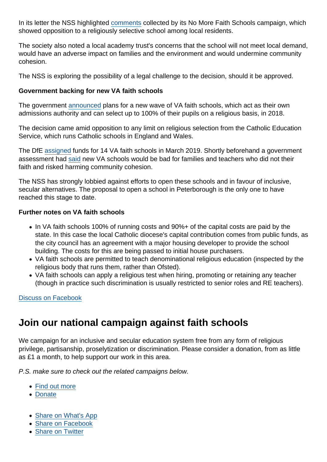In its letter the NSS highlighted [comments](https://www.nomorefaithschools.org/uploads/appendix-local-opposition.pdf) collected by its No More Faith Schools campaign, which showed opposition to a religiously selective school among local residents.

The society also noted a local academy trust's concerns that the school will not meet local demand, would have an adverse impact on families and the environment and would undermine community cohesion.

The NSS is exploring the possibility of a legal challenge to the decision, should it be approved.

Government backing for new VA faith schools

The government [announced](https://www.nomorefaithschools.org/news/2018/11/government-commits-funding-to-new-100-percent-selective-faith-schools) plans for a new wave of VA faith schools, which act as their own admissions authority and can select up to 100% of their pupils on a religious basis, in 2018.

The decision came amid opposition to any limit on religious selection from the Catholic Education Service, which runs Catholic schools in England and Wales.

The DfE [assigned](https://www.secularism.org.uk/news/2019/03/nss-to-challenge-new-religiously-selective-faith-school-proposals) funds for 14 VA faith schools in March 2019. Shortly beforehand a government assessment had [said](https://www.nomorefaithschools.org/news/2018/12/dfe-assessment-new-selective-faith-schools-will-disadvantage-families) new VA schools would be bad for families and teachers who did not their faith and risked harming community cohesion.

The NSS has strongly lobbied against efforts to open these schools and in favour of inclusive, secular alternatives. The proposal to open a school in Peterborough is the only one to have reached this stage to date.

Further notes on VA faith schools

- In VA faith schools 100% of running costs and 90%+ of the capital costs are paid by the state. In this case the local Catholic diocese's capital contribution comes from public funds, as the city council has an agreement with a major housing developer to provide the school building. The costs for this are being passed to initial house purchasers.
- VA faith schools are permitted to teach denominational religious education (inspected by the religious body that runs them, rather than Ofsted).
- VA faith schools can apply a religious test when hiring, promoting or retaining any teacher (though in practice such discrimination is usually restricted to senior roles and RE teachers).

[Discuss on Facebook](https://www.facebook.com/NationalSecularSociety/posts/2732106770190990?__xts__[0]=68.ARAfshltffMSuSdysU41xKrm4nqcbz0hW5Ih8XUt5z-CiVQnp0l4OyUo5QF44YhoZ5b-UC5V4-XYMZrqvQZjeZwZ8VVCybRAlRQd-9ayZUJsQ-EMXiO_5nWQtlVlXkT0uije2X0FLmCLNlX77WfieweWUMjteW0jfhmtDR5FjslblWtfRB7RC6xIHPk-N46fU9rus3vK9ivT6OILqu6hqjsny9zbUCj9JPLYoHkUdr3JVPhStax9SAaHXH1emTUSNTHC1FTDXHd-TQrOiEhXJuTxVks8-uyTkJ2bpK-kcJ56P4j2UJcaT5t4Wy_x7Y3kdxw-AuzNNnYYlMHDb8t84ufv9w&__tn__=-R)

### Join our national campaign against faith schools

We campaign for an inclusive and secular education system free from any form of religious privilege, partisanship, proselytization or discrimination. Please consider a donation, from as little as £1 a month, to help support our work in this area.

P.S. make sure to check out the related campaigns below.

- [Find out more](https://www.secularism.org.uk/faith-schools/)
- [Donate](https://www.secularism.org.uk/donate.html)
- [Share on What's App](whatsapp://send?text=http://www.secularism.org.uk/news/2020/01/nss-urges-council-not-to-approve-new-discriminatory-catholic-school?format=pdf)
- [Share on Facebook](https://www.facebook.com/sharer/sharer.php?u=http://www.secularism.org.uk/news/2020/01/nss-urges-council-not-to-approve-new-discriminatory-catholic-school?format=pdf&t=NSS+urges+council+not+to+approve+discriminatory+Catholic+school)
- [Share on Twitter](https://twitter.com/intent/tweet?url=http://www.secularism.org.uk/news/2020/01/nss-urges-council-not-to-approve-new-discriminatory-catholic-school?format=pdf&text=NSS+urges+council+not+to+approve+discriminatory+Catholic+school&via=NatSecSoc)